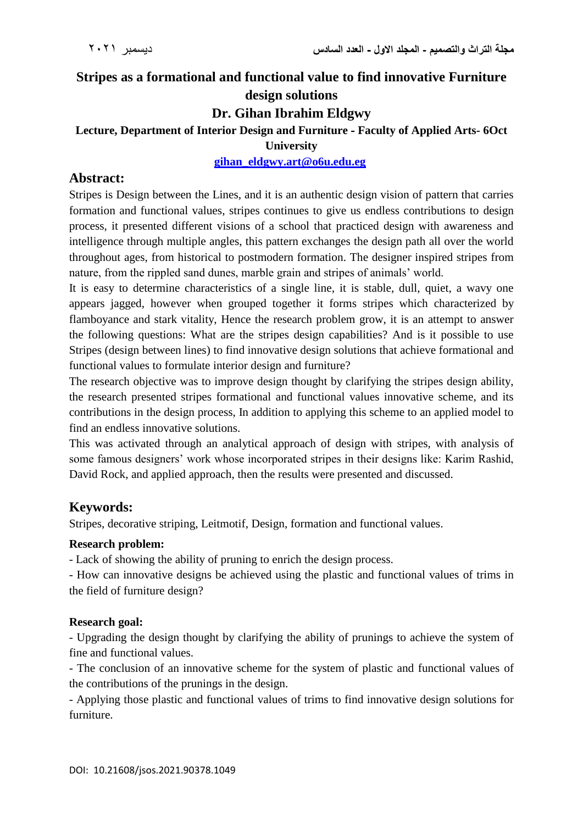# **Stripes as a formational and functional value to find innovative Furniture design solutions**

# **Dr. Gihan Ibrahim Eldgwy**

#### **Lecture, Department of Interior Design and Furniture - Faculty of Applied Arts- 6Oct University**

### **[gihan\\_eldgwy.art@o6u.edu.eg](mailto:gihan_eldgwy.art@o6u.edu.eg)**

## **Abstract:**

Stripes is Design between the Lines, and it is an authentic design vision of pattern that carries formation and functional values, stripes continues to give us endless contributions to design process, it presented different visions of a school that practiced design with awareness and intelligence through multiple angles, this pattern exchanges the design path all over the world throughout ages, from historical to postmodern formation. The designer inspired stripes from nature, from the rippled sand dunes, marble grain and stripes of animals' world.

It is easy to determine characteristics of a single line, it is stable, dull, quiet, a wavy one appears jagged, however when grouped together it forms stripes which characterized by flamboyance and stark vitality, Hence the research problem grow, it is an attempt to answer the following questions: What are the stripes design capabilities? And is it possible to use Stripes (design between lines) to find innovative design solutions that achieve formational and functional values to formulate interior design and furniture?

The research objective was to improve design thought by clarifying the stripes design ability, the research presented stripes formational and functional values innovative scheme, and its contributions in the design process, In addition to applying this scheme to an applied model to find an endless innovative solutions.

This was activated through an analytical approach of design with stripes, with analysis of some famous designers' work whose incorporated stripes in their designs like: Karim Rashid, David Rock, and applied approach, then the results were presented and discussed.

# **Keywords:**

Stripes, decorative striping, Leitmotif, Design, formation and functional values.

### **Research problem:**

- Lack of showing the ability of pruning to enrich the design process.

- How can innovative designs be achieved using the plastic and functional values of trims in the field of furniture design?

### **Research goal:**

- Upgrading the design thought by clarifying the ability of prunings to achieve the system of fine and functional values.

- The conclusion of an innovative scheme for the system of plastic and functional values of the contributions of the prunings in the design.

- Applying those plastic and functional values of trims to find innovative design solutions for furniture.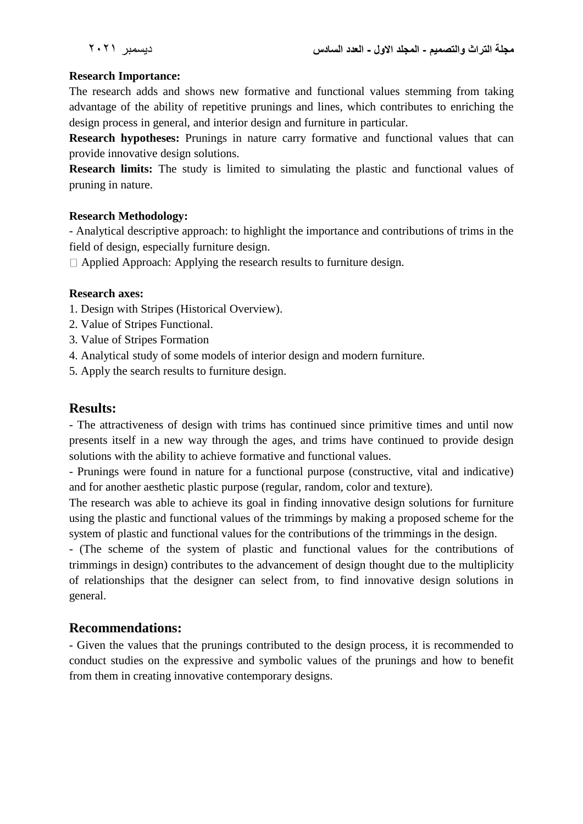#### **Research Importance:**

The research adds and shows new formative and functional values stemming from taking advantage of the ability of repetitive prunings and lines, which contributes to enriching the design process in general, and interior design and furniture in particular.

**Research hypotheses:** Prunings in nature carry formative and functional values that can provide innovative design solutions.

**Research limits:** The study is limited to simulating the plastic and functional values of pruning in nature.

#### **Research Methodology:**

- Analytical descriptive approach: to highlight the importance and contributions of trims in the field of design, especially furniture design.

 $\Box$  Applied Approach: Applying the research results to furniture design.

#### **Research axes:**

- 1. Design with Stripes (Historical Overview).
- 2. Value of Stripes Functional.
- 3. Value of Stripes Formation
- 4. Analytical study of some models of interior design and modern furniture.
- 5. Apply the search results to furniture design.

### **Results:**

- The attractiveness of design with trims has continued since primitive times and until now presents itself in a new way through the ages, and trims have continued to provide design solutions with the ability to achieve formative and functional values.

- Prunings were found in nature for a functional purpose (constructive, vital and indicative) and for another aesthetic plastic purpose (regular, random, color and texture).

The research was able to achieve its goal in finding innovative design solutions for furniture using the plastic and functional values of the trimmings by making a proposed scheme for the system of plastic and functional values for the contributions of the trimmings in the design.

- (The scheme of the system of plastic and functional values for the contributions of trimmings in design) contributes to the advancement of design thought due to the multiplicity of relationships that the designer can select from, to find innovative design solutions in general.

### **Recommendations:**

- Given the values that the prunings contributed to the design process, it is recommended to conduct studies on the expressive and symbolic values of the prunings and how to benefit from them in creating innovative contemporary designs.